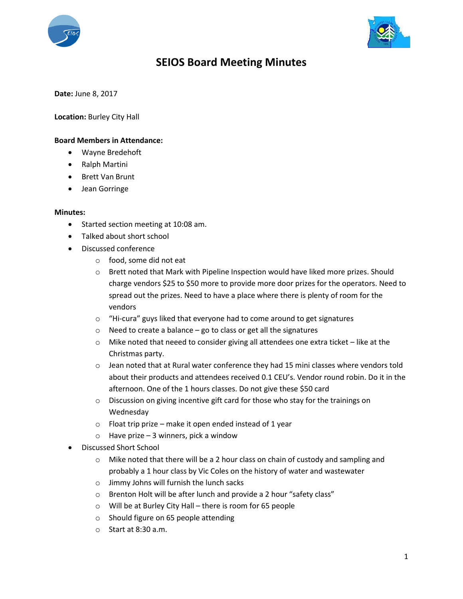



## **SEIOS Board Meeting Minutes**

**Date:** June 8, 2017

**Location:** Burley City Hall

## **Board Members in Attendance:**

- Wayne Bredehoft
- Ralph Martini
- Brett Van Brunt
- Jean Gorringe

## **Minutes:**

- Started section meeting at 10:08 am.
- Talked about short school
- Discussed conference
	- o food, some did not eat
	- o Brett noted that Mark with Pipeline Inspection would have liked more prizes. Should charge vendors \$25 to \$50 more to provide more door prizes for the operators. Need to spread out the prizes. Need to have a place where there is plenty of room for the vendors
	- o "Hi-cura" guys liked that everyone had to come around to get signatures
	- $\circ$  Need to create a balance go to class or get all the signatures
	- $\circ$  Mike noted that neeed to consider giving all attendees one extra ticket like at the Christmas party.
	- o Jean noted that at Rural water conference they had 15 mini classes where vendors told about their products and attendees received 0.1 CEU's. Vendor round robin. Do it in the afternoon. One of the 1 hours classes. Do not give these \$50 card
	- $\circ$  Discussion on giving incentive gift card for those who stay for the trainings on Wednesday
	- $\circ$  Float trip prize make it open ended instead of 1 year
	- $\circ$  Have prize 3 winners, pick a window
- Discussed Short School
	- $\circ$  Mike noted that there will be a 2 hour class on chain of custody and sampling and probably a 1 hour class by Vic Coles on the history of water and wastewater
	- o Jimmy Johns will furnish the lunch sacks
	- o Brenton Holt will be after lunch and provide a 2 hour "safety class"
	- o Will be at Burley City Hall there is room for 65 people
	- o Should figure on 65 people attending
	- o Start at 8:30 a.m.